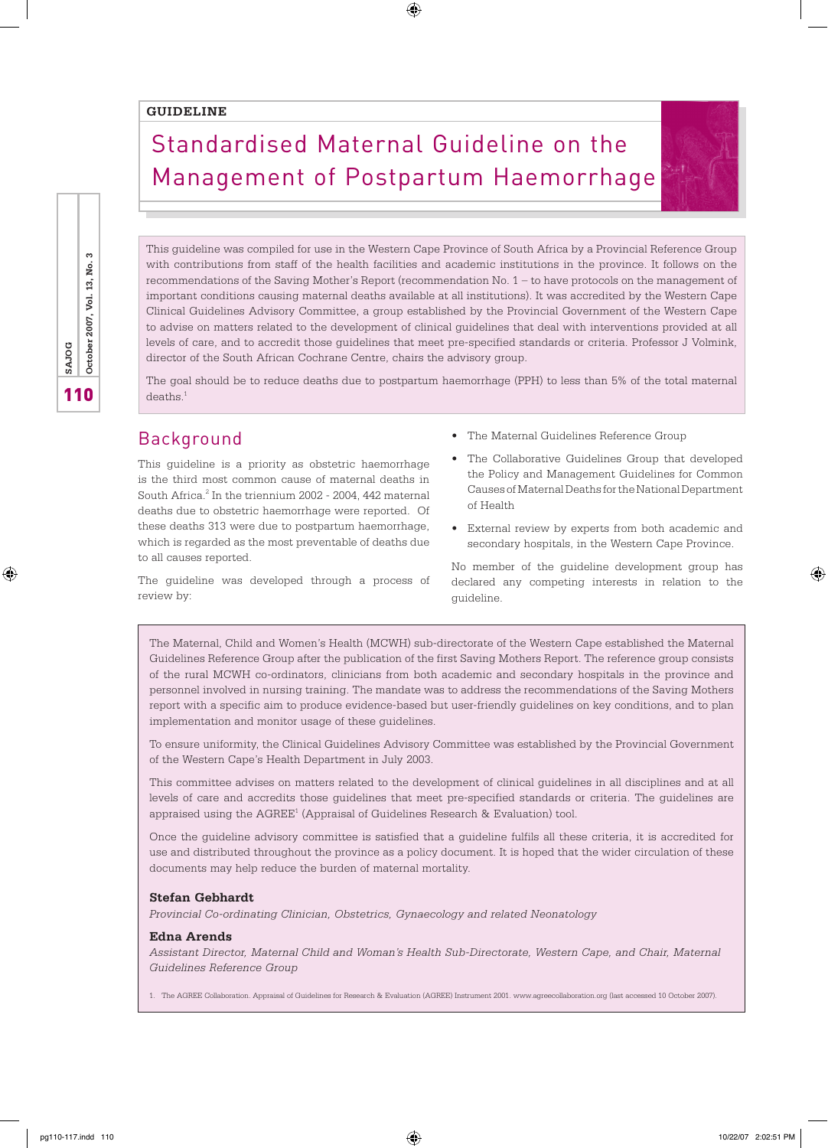#### **GUIDELINE**

# Standardised Maternal Guideline on the Management of Postpartum Haemorrhage

 $\bigoplus$ 

This guideline was compiled for use in the Western Cape Province of South Africa by a Provincial Reference Group with contributions from staff of the health facilities and academic institutions in the province. It follows on the recommendations of the Saving Mother's Report (recommendation No. 1 – to have protocols on the management of important conditions causing maternal deaths available at all institutions). It was accredited by the Western Cape Clinical Guidelines Advisory Committee, a group established by the Provincial Government of the Western Cape to advise on matters related to the development of clinical guidelines that deal with interventions provided at all levels of care, and to accredit those guidelines that meet pre-specified standards or criteria. Professor J Volmink, director of the South African Cochrane Centre, chairs the advisory group.

The goal should be to reduce deaths due to postpartum haemorrhage (PPH) to less than 5% of the total maternal deaths<sup>1</sup>

# Background

review by:

This guideline is a priority as obstetric haemorrhage is the third most common cause of maternal deaths in South Africa.<sup>2</sup> In the triennium 2002 - 2004, 442 maternal deaths due to obstetric haemorrhage were reported. Of these deaths 313 were due to postpartum haemorrhage, which is regarded as the most preventable of deaths due to all causes reported.

- The Maternal Guidelines Reference Group
- The Collaborative Guidelines Group that developed the Policy and Management Guidelines for Common Causes of Maternal Deaths for the National Department of Health
- External review by experts from both academic and secondary hospitals, in the Western Cape Province.

The guideline was developed through a process of No member of the guideline development group has declared any competing interests in relation to the guideline.

The Maternal, Child and Women's Health (MCWH) sub-directorate of the Western Cape established the Maternal Guidelines Reference Group after the publication of the first Saving Mothers Report. The reference group consists of the rural MCWH co-ordinators, clinicians from both academic and secondary hospitals in the province and personnel involved in nursing training. The mandate was to address the recommendations of the Saving Mothers report with a specific aim to produce evidence-based but user-friendly guidelines on key conditions, and to plan implementation and monitor usage of these guidelines.

To ensure uniformity, the Clinical Guidelines Advisory Committee was established by the Provincial Government of the Western Cape's Health Department in July 2003.

This committee advises on matters related to the development of clinical guidelines in all disciplines and at all levels of care and accredits those guidelines that meet pre-specified standards or criteria. The guidelines are appraised using the AGREE<sup>1</sup> (Appraisal of Guidelines Research & Evaluation) tool.

Once the guideline advisory committee is satisfied that a guideline fulfils all these criteria, it is accredited for use and distributed throughout the province as a policy document. It is hoped that the wider circulation of these documents may help reduce the burden of maternal mortality.

#### **Stefan Gebhardt**

*Provincial Co-ordinating Clinician, Obstetrics, Gynaecology and related Neonatology*

#### **Edna Arends**

*Assistant Director, Maternal Child and Woman's Health Sub-Directorate, Western Cape, and Chair, Maternal Guidelines Reference Group*

1. The AGREE Collaboration. Appraisal of Guidelines for Research & Evaluation (AGREE) Instrument 2001. www.agreecollaboration.org (last accessed 10 October 2007).

⊕

⊕

110 **SAJOG October 2007, Vol. 13, No. 3**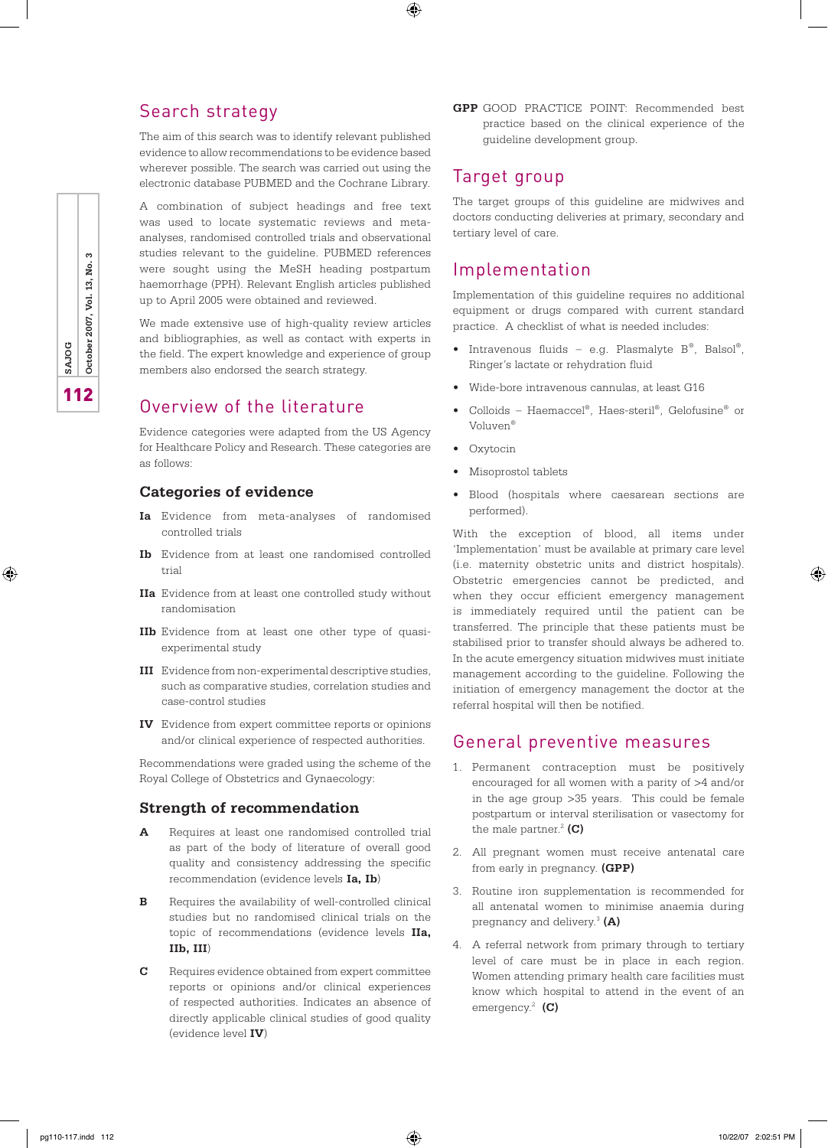# Search strategy

The aim of this search was to identify relevant published evidence to allow recommendations to be evidence based wherever possible. The search was carried out using the electronic database PUBMED and the Cochrane Library.

A combination of subject headings and free text was used to locate systematic reviews and metaanalyses, randomised controlled trials and observational studies relevant to the guideline. PUBMED references were sought using the MeSH heading postpartum haemorrhage (PPH). Relevant English articles published up to April 2005 were obtained and reviewed.

We made extensive use of high-quality review articles and bibliographies, as well as contact with experts in the field. The expert knowledge and experience of group members also endorsed the search strategy.

# Overview of the literature

Evidence categories were adapted from the US Agency for Healthcare Policy and Research. These categories are as follows:

#### **Categories of evidence**

- **Ia** Evidence from meta-analyses of randomised controlled trials
- **Ib** Evidence from at least one randomised controlled trial
- **IIa** Evidence from at least one controlled study without randomisation
- **IIb** Evidence from at least one other type of quasiexperimental study
- **III** Evidence from non-experimental descriptive studies, such as comparative studies, correlation studies and case-control studies
- **IV** Evidence from expert committee reports or opinions and/or clinical experience of respected authorities.

Recommendations were graded using the scheme of the Royal College of Obstetrics and Gynaecology:

#### **Strength of recommendation**

- **A** Requires at least one randomised controlled trial as part of the body of literature of overall good quality and consistency addressing the specific recommendation (evidence levels **Ia, Ib**)
- **B** Requires the availability of well-controlled clinical studies but no randomised clinical trials on the topic of recommendations (evidence levels **IIa, IIb, III**)
- **C** Requires evidence obtained from expert committee reports or opinions and/or clinical experiences of respected authorities. Indicates an absence of directly applicable clinical studies of good quality (evidence level **IV**)

**GPP** GOOD PRACTICE POINT: Recommended best practice based on the clinical experience of the guideline development group.

### Target group

⊕

The target groups of this guideline are midwives and doctors conducting deliveries at primary, secondary and tertiary level of care.

# Implementation

Implementation of this guideline requires no additional equipment or drugs compared with current standard practice. A checklist of what is needed includes:

- Intravenous fluids e.g. Plasmalyte  $B^{\circ}$ , Balsol<sup>®</sup>, Ringer's lactate or rehydration fluid
- Wide-bore intravenous cannulas, at least G16
- Colloids Haemaccel®, Haes-steril®, Gelofusine® or Voluven®
- Oxytocin
- Misoprostol tablets
- Blood (hospitals where caesarean sections are performed).

With the exception of blood, all items under 'Implementation' must be available at primary care level (i.e. maternity obstetric units and district hospitals). Obstetric emergencies cannot be predicted, and when they occur efficient emergency management is immediately required until the patient can be transferred. The principle that these patients must be stabilised prior to transfer should always be adhered to. In the acute emergency situation midwives must initiate management according to the guideline. Following the initiation of emergency management the doctor at the referral hospital will then be notified.

### General preventive measures

- 1. Permanent contraception must be positively encouraged for all women with a parity of >4 and/or in the age group >35 years. This could be female postpartum or interval sterilisation or vasectomy for the male partner. $^{2}$  (C)
- 2. All pregnant women must receive antenatal care from early in pregnancy. **(GPP)**
- 3. Routine iron supplementation is recommended for all antenatal women to minimise anaemia during pregnancy and delivery.3 **(A)**
- 4. A referral network from primary through to tertiary level of care must be in place in each region. Women attending primary health care facilities must know which hospital to attend in the event of an emergency.2 **(C)**

⊕

⊕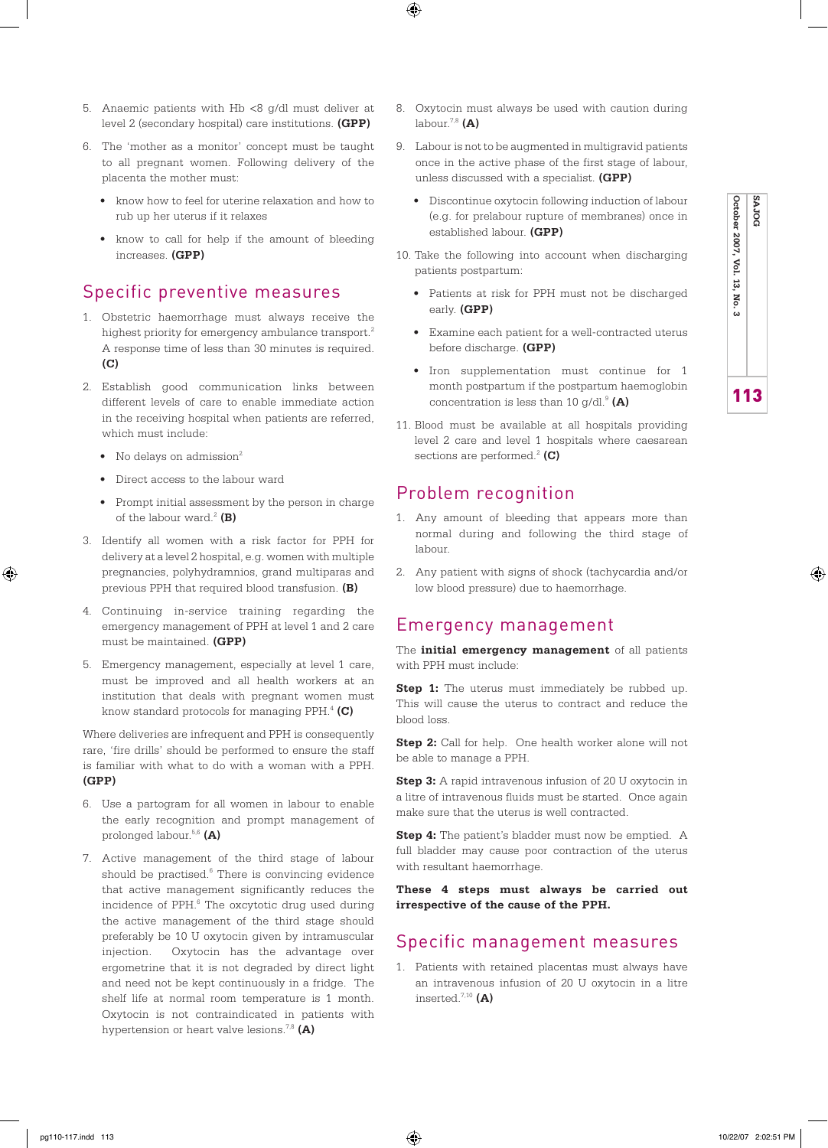- 5. Anaemic patients with Hb <8 g/dl must deliver at level 2 (secondary hospital) care institutions. **(GPP)**
- 6. The 'mother as a monitor' concept must be taught to all pregnant women. Following delivery of the placenta the mother must:
	- know how to feel for uterine relaxation and how to rub up her uterus if it relaxes
	- know to call for help if the amount of bleeding increases. **(GPP)**

# Specific preventive measures

- 1. Obstetric haemorrhage must always receive the highest priority for emergency ambulance transport.<sup>2</sup> A response time of less than 30 minutes is required. **(C)**
- 2. Establish good communication links between different levels of care to enable immediate action in the receiving hospital when patients are referred, which must include:
	- No delays on admission $2$
	- Direct access to the labour ward
	- Prompt initial assessment by the person in charge of the labour ward. $^{2}$  (B)
- 3. Identify all women with a risk factor for PPH for delivery at a level 2 hospital, e.g. women with multiple pregnancies, polyhydramnios, grand multiparas and previous PPH that required blood transfusion. **(B)**
- 4. Continuing in-service training regarding the emergency management of PPH at level 1 and 2 care must be maintained. **(GPP)**
- 5. Emergency management, especially at level 1 care, must be improved and all health workers at an institution that deals with pregnant women must know standard protocols for managing PPH.4 **(C)**

Where deliveries are infrequent and PPH is consequently rare, 'fire drills' should be performed to ensure the staff is familiar with what to do with a woman with a PPH. **(GPP)**

- 6. Use a partogram for all women in labour to enable the early recognition and prompt management of prolonged labour.5,6 **(A)**
- 7. Active management of the third stage of labour should be practised.<sup>6</sup> There is convincing evidence that active management significantly reduces the incidence of PPH.<sup>6</sup> The oxcytotic drug used during the active management of the third stage should preferably be 10 U oxytocin given by intramuscular injection. Oxytocin has the advantage over ergometrine that it is not degraded by direct light and need not be kept continuously in a fridge. The shelf life at normal room temperature is 1 month. Oxytocin is not contraindicated in patients with hypertension or heart valve lesions.7,8 **(A)**

8. Oxytocin must always be used with caution during labour.7,8 **(A)**

⊕

- 9. Labour is not to be augmented in multigravid patients once in the active phase of the first stage of labour, unless discussed with a specialist. **(GPP)**
	- Discontinue oxytocin following induction of labour (e.g. for prelabour rupture of membranes) once in established labour. **(GPP)**
- 10. Take the following into account when discharging patients postpartum:
	- Patients at risk for PPH must not be discharged early. **(GPP)**
	- Examine each patient for a well-contracted uterus before discharge. **(GPP)**
	- Iron supplementation must continue for 1 month postpartum if the postpartum haemoglobin concentration is less than 10  $g/dl$ .<sup>9</sup> (A)
- 11. Blood must be available at all hospitals providing level 2 care and level 1 hospitals where caesarean sections are performed.<sup>2</sup> (C)

### Problem recognition

- 1. Any amount of bleeding that appears more than normal during and following the third stage of labour.
- 2. Any patient with signs of shock (tachycardia and/or low blood pressure) due to haemorrhage.

#### Emergency management

The **initial emergency management** of all patients with PPH must include:

**Step 1:** The uterus must immediately be rubbed up. This will cause the uterus to contract and reduce the blood loss.

**Step 2:** Call for help. One health worker alone will not be able to manage a PPH.

**Step 3:** A rapid intravenous infusion of 20 U oxytocin in a litre of intravenous fluids must be started. Once again make sure that the uterus is well contracted.

**Step 4:** The patient's bladder must now be emptied. A full bladder may cause poor contraction of the uterus with resultant haemorrhage.

**These 4 steps must always be carried out irrespective of the cause of the PPH.** 

### Specific management measures

1. Patients with retained placentas must always have an intravenous infusion of 20 U oxytocin in a litre inserted.7,10 **(A)**

⊕

pg110-117.indd 113 10/22/07 2:02:51 PM

**October 2007, Vol. 13, No. 3**

**SAJOG**

**SAJOG**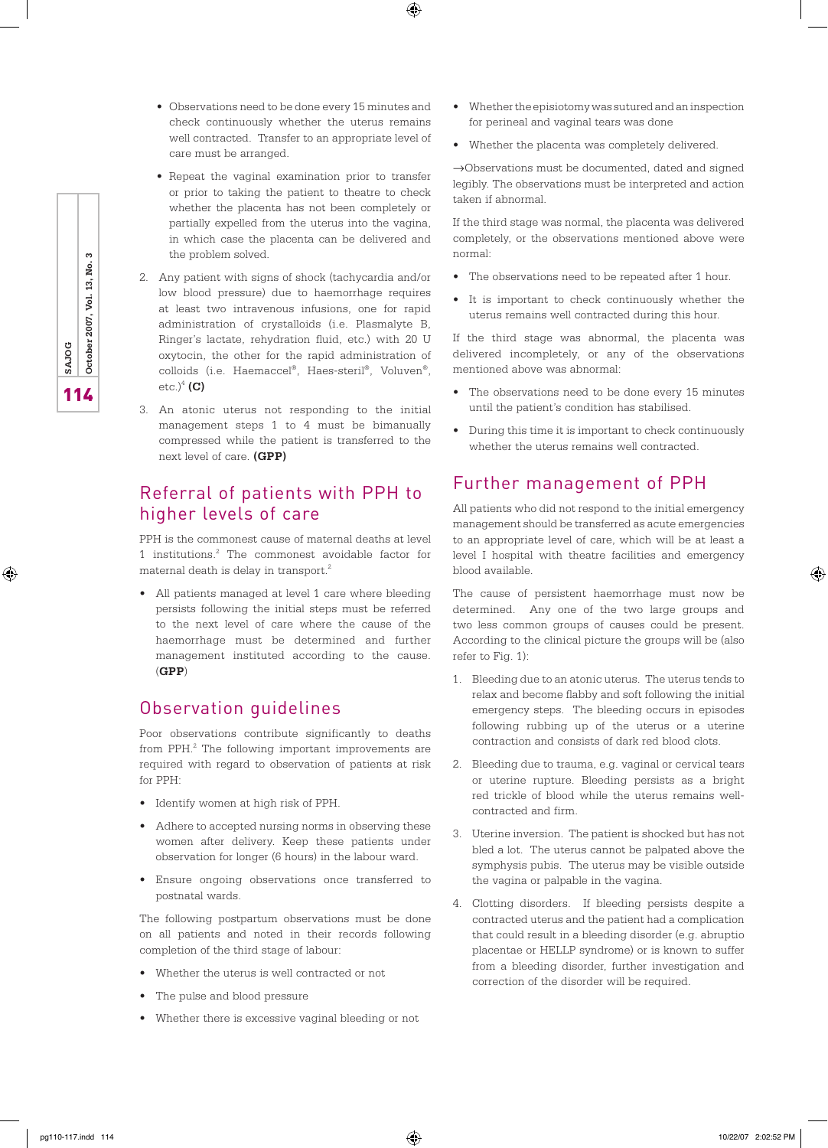• Observations need to be done every 15 minutes and check continuously whether the uterus remains well contracted. Transfer to an appropriate level of care must be arranged.

 $\bigoplus$ 

- Repeat the vaginal examination prior to transfer or prior to taking the patient to theatre to check whether the placenta has not been completely or partially expelled from the uterus into the vagina, in which case the placenta can be delivered and the problem solved.
- 2. Any patient with signs of shock (tachycardia and/or low blood pressure) due to haemorrhage requires at least two intravenous infusions, one for rapid administration of crystalloids (i.e. Plasmalyte B, Ringer's lactate, rehydration fluid, etc.) with 20 U oxytocin, the other for the rapid administration of colloids (i.e. Haemaccel®, Haes-steril®, Voluven®, etc.)<sup>4</sup> (C)
- 3. An atonic uterus not responding to the initial management steps 1 to 4 must be bimanually compressed while the patient is transferred to the next level of care. **(GPP)**

# Referral of patients with PPH to higher levels of care

PPH is the commonest cause of maternal deaths at level 1 institutions.2 The commonest avoidable factor for maternal death is delay in transport.2

• All patients managed at level 1 care where bleeding persists following the initial steps must be referred to the next level of care where the cause of the haemorrhage must be determined and further management instituted according to the cause. (**GPP**)

# Observation guidelines

Poor observations contribute significantly to deaths from PPH.<sup>2</sup> The following important improvements are required with regard to observation of patients at risk for PPH:

- Identify women at high risk of PPH.
- Adhere to accepted nursing norms in observing these women after delivery. Keep these patients under observation for longer (6 hours) in the labour ward.
- Ensure ongoing observations once transferred to postnatal wards.

The following postpartum observations must be done on all patients and noted in their records following completion of the third stage of labour:

- Whether the uterus is well contracted or not
- The pulse and blood pressure
- Whether there is excessive vaginal bleeding or not
- Whether the episiotomy was sutured and an inspection for perineal and vaginal tears was done
- Whether the placenta was completely delivered.

→Observations must be documented, dated and signed legibly. The observations must be interpreted and action taken if abnormal.

If the third stage was normal, the placenta was delivered completely, or the observations mentioned above were normal:

- The observations need to be repeated after 1 hour.
- It is important to check continuously whether the uterus remains well contracted during this hour.

If the third stage was abnormal, the placenta was delivered incompletely, or any of the observations mentioned above was abnormal:

- The observations need to be done every 15 minutes until the patient's condition has stabilised.
- During this time it is important to check continuously whether the uterus remains well contracted.

#### Further management of PPH

All patients who did not respond to the initial emergency management should be transferred as acute emergencies to an appropriate level of care, which will be at least a level I hospital with theatre facilities and emergency blood available.

The cause of persistent haemorrhage must now be determined. Any one of the two large groups and two less common groups of causes could be present. According to the clinical picture the groups will be (also refer to Fig. 1):

- 1. Bleeding due to an atonic uterus. The uterus tends to relax and become flabby and soft following the initial emergency steps. The bleeding occurs in episodes following rubbing up of the uterus or a uterine contraction and consists of dark red blood clots.
- 2. Bleeding due to trauma, e.g. vaginal or cervical tears or uterine rupture. Bleeding persists as a bright red trickle of blood while the uterus remains wellcontracted and firm.
- 3. Uterine inversion. The patient is shocked but has not bled a lot. The uterus cannot be palpated above the symphysis pubis. The uterus may be visible outside the vagina or palpable in the vagina.
- 4. Clotting disorders. If bleeding persists despite a contracted uterus and the patient had a complication that could result in a bleeding disorder (e.g. abruptio placentae or HELLP syndrome) or is known to suffer from a bleeding disorder, further investigation and correction of the disorder will be required.

⊕

**11**<br>**11** October 2007, Vol. 13, No. 3

⊕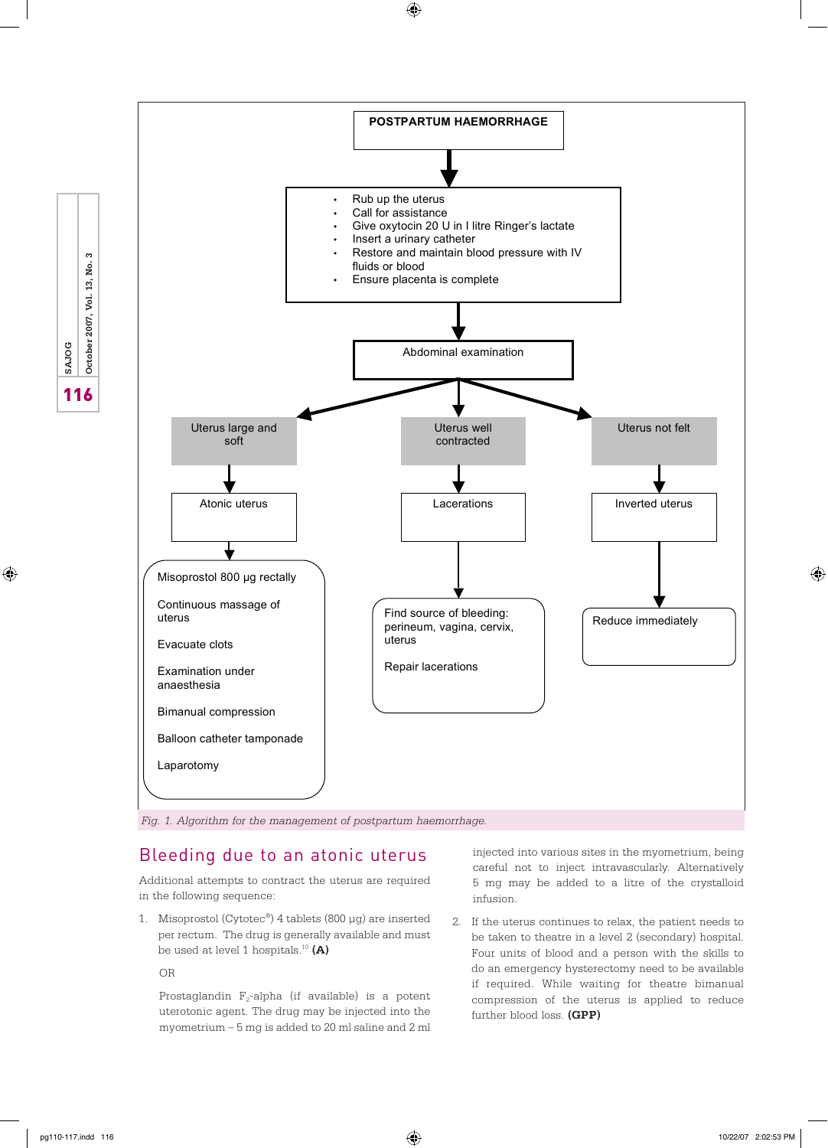$\bigoplus$ 



# Bleeding due to an atonic uterus

Additional attempts to contract the uterus are required in the following sequence:

1. Misoprostol (Cytotec®) 4 tablets (800 µg) are inserted per rectum. The drug is generally available and must be used at level 1 hospitals.10 **(A)**

#### OR

Prostaglandin  $F_2$ -alpha (if available) is a potent uterotonic agent. The drug may be injected into the myometrium – 5 mg is added to 20 ml saline and 2 ml injected into various sites in the myometrium, being careful not to inject intravascularly. Alternatively 5 mg may be added to a litre of the crystalloid infusion.

2. If the uterus continues to relax, the patient needs to be taken to theatre in a level 2 (secondary) hospital. Four units of blood and a person with the skills to do an emergency hysterectomy need to be available if required. While waiting for theatre bimanual compression of the uterus is applied to reduce further blood loss. **(GPP)**

**116 SAJOG**<br> **116 October 2007, Vol. 13, No. 3** 

 $\bigoplus$ 

⊕